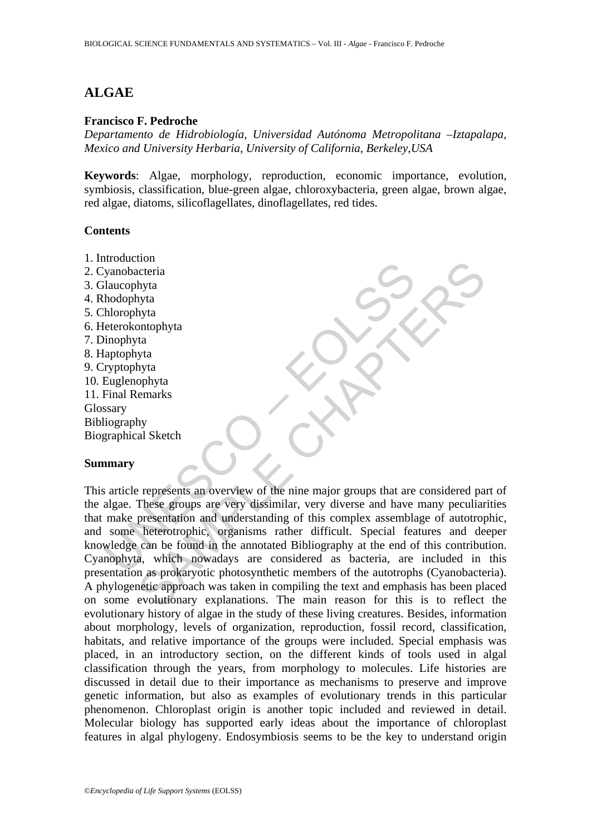# **ALGAE**

### **Francisco F. Pedroche**

*Departamento de Hidrobiología, Universidad Autónoma Metropolitana –Iztapalapa, Mexico and University Herbaria, University of California, Berkeley,USA* 

**Keywords**: Algae, morphology, reproduction, economic importance, evolution, symbiosis, classification, blue-green algae, chloroxybacteria, green algae, brown algae, red algae, diatoms, silicoflagellates, dinoflagellates, red tides.

#### **Contents**

- 1. Introduction
- 2. Cyanobacteria
- 3. Glaucophyta
- 4. Rhodophyta
- 5. Chlorophyta
- 6. Heterokontophyta
- 7. Dinophyta
- 8. Haptophyta
- 9. Cryptophyta
- 10. Euglenophyta
- 11. Final Remarks
- Glossary
- Bibliography
- Biographical Sketch

### **Summary**

Experience of the anti-<br>
Manufolaheteria<br>
Haucophyta<br>
Inducophyta<br>
Inhophyta<br>
Inhophyta<br>
Inhophyta<br>
Interpretation<br>
Interpretation<br>
Suspending a Section<br>
Translation and and the smooth of the major groups that are<br>
and a s Contraction<br>
of the chaptain of the stress of the stress of the stress of the stress of the stress of the stress of the stress of the stress of the stress of the stress of the stress of the stress of the stress of the stre This article represents an overview of the nine major groups that are considered part of the algae. These groups are very dissimilar, very diverse and have many peculiarities that make presentation and understanding of this complex assemblage of autotrophic, and some heterotrophic, organisms rather difficult. Special features and deeper knowledge can be found in the annotated Bibliography at the end of this contribution. Cyanophyta, which nowadays are considered as bacteria, are included in this presentation as prokaryotic photosynthetic members of the autotrophs (Cyanobacteria). A phylogenetic approach was taken in compiling the text and emphasis has been placed on some evolutionary explanations. The main reason for this is to reflect the evolutionary history of algae in the study of these living creatures. Besides, information about morphology, levels of organization, reproduction, fossil record, classification, habitats, and relative importance of the groups were included. Special emphasis was placed, in an introductory section, on the different kinds of tools used in algal classification through the years, from morphology to molecules. Life histories are discussed in detail due to their importance as mechanisms to preserve and improve genetic information, but also as examples of evolutionary trends in this particular phenomenon. Chloroplast origin is another topic included and reviewed in detail. Molecular biology has supported early ideas about the importance of chloroplast features in algal phylogeny. Endosymbiosis seems to be the key to understand origin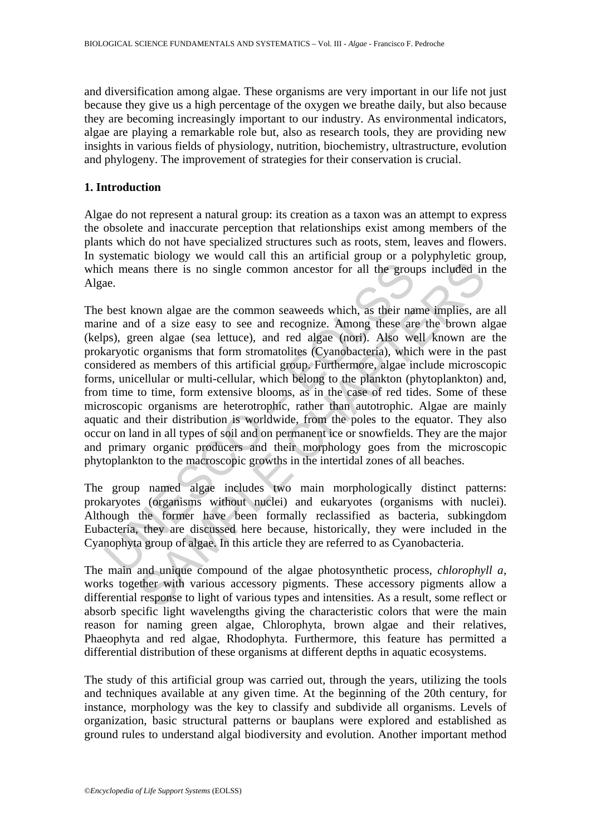and diversification among algae. These organisms are very important in our life not just because they give us a high percentage of the oxygen we breathe daily, but also because they are becoming increasingly important to our industry. As environmental indicators, algae are playing a remarkable role but, also as research tools, they are providing new insights in various fields of physiology, nutrition, biochemistry, ultrastructure, evolution and phylogeny. The improvement of strategies for their conservation is crucial.

## **1. Introduction**

Algae do not represent a natural group: its creation as a taxon was an attempt to express the obsolete and inaccurate perception that relationships exist among members of the plants which do not have specialized structures such as roots, stem, leaves and flowers. In systematic biology we would call this an artificial group or a polyphyletic group, which means there is no single common ancestor for all the groups included in the Algae.

of means there is no single common ancestor for all the groutine<br>ae.<br>
he mans there is no single common seaweeds which, as their natine and of a size easy to see and recognize. Among these are<br>
ps), green algae (sea lettuc ins there is no single common ancestor for all the groups included in<br>the state is no single common ancestor for all the groups included in<br>nown algae are the common seaweeds which, as their name implies, and<br>of a size eas The best known algae are the common seaweeds which, as their name implies, are all marine and of a size easy to see and recognize. Among these are the brown algae (kelps), green algae (sea lettuce), and red algae (nori). Also well known are the prokaryotic organisms that form stromatolites (Cyanobacteria), which were in the past considered as members of this artificial group. Furthermore, algae include microscopic forms, unicellular or multi-cellular, which belong to the plankton (phytoplankton) and, from time to time, form extensive blooms, as in the case of red tides. Some of these microscopic organisms are heterotrophic, rather than autotrophic. Algae are mainly aquatic and their distribution is worldwide, from the poles to the equator. They also occur on land in all types of soil and on permanent ice or snowfields. They are the major and primary organic producers and their morphology goes from the microscopic phytoplankton to the macroscopic growths in the intertidal zones of all beaches.

The group named algae includes two main morphologically distinct patterns: prokaryotes (organisms without nuclei) and eukaryotes (organisms with nuclei). Although the former have been formally reclassified as bacteria, subkingdom Eubacteria, they are discussed here because, historically, they were included in the Cyanophyta group of algae. In this article they are referred to as Cyanobacteria.

The main and unique compound of the algae photosynthetic process, *chlorophyll a*, works together with various accessory pigments. These accessory pigments allow a differential response to light of various types and intensities. As a result, some reflect or absorb specific light wavelengths giving the characteristic colors that were the main reason for naming green algae, Chlorophyta, brown algae and their relatives, Phaeophyta and red algae, Rhodophyta. Furthermore, this feature has permitted a differential distribution of these organisms at different depths in aquatic ecosystems.

The study of this artificial group was carried out, through the years, utilizing the tools and techniques available at any given time. At the beginning of the 20th century, for instance, morphology was the key to classify and subdivide all organisms. Levels of organization, basic structural patterns or bauplans were explored and established as ground rules to understand algal biodiversity and evolution. Another important method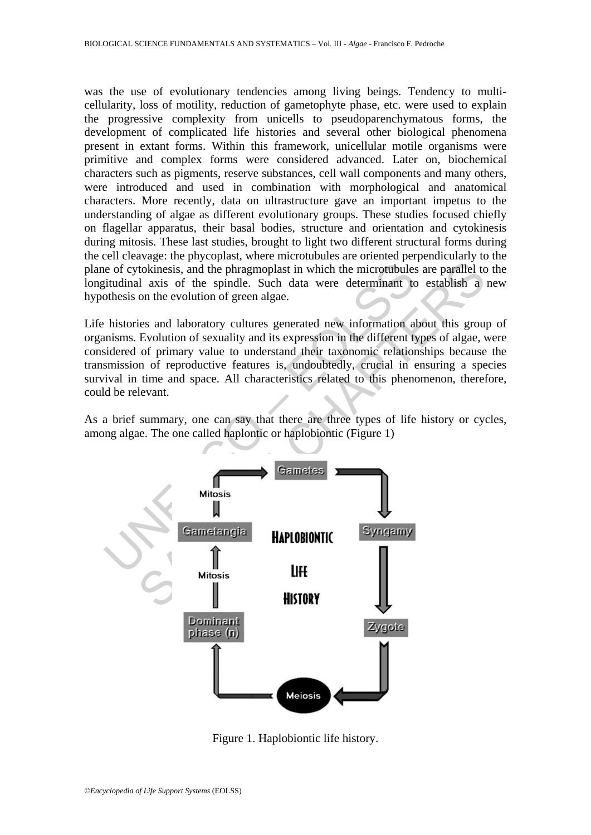was the use of evolutionary tendencies among living beings. Tendency to multicellularity, loss of motility, reduction of gametophyte phase, etc. were used to explain the progressive complexity from unicells to pseudoparenchymatous forms, the development of complicated life histories and several other biological phenomena present in extant forms. Within this framework, unicellular motile organisms were primitive and complex forms were considered advanced. Later on, biochemical characters such as pigments, reserve substances, cell wall components and many others, were introduced and used in combination with morphological and anatomical characters. More recently, data on ultrastructure gave an important impetus to the understanding of algae as different evolutionary groups. These studies focused chiefly on flagellar apparatus, their basal bodies, structure and orientation and cytokinesis during mitosis. These last studies, brought to light two different structural forms during the cell cleavage: the phycoplast, where microtubules are oriented perpendicularly to the plane of cytokinesis, and the phragmoplast in which the microtubules are parallel to the longitudinal axis of the spindle. Such data were determinant to establish a new hypothesis on the evolution of green algae.

Life histories and laboratory cultures generated new information about this group of organisms. Evolution of sexuality and its expression in the different types of algae, were considered of primary value to understand their taxonomic relationships because the transmission of reproductive features is, undoubtedly, crucial in ensuring a species survival in time and space. All characteristics related to this phenomenon, therefore, could be relevant.

As a brief summary, one can say that there are three types of life history or cycles, among algae. The one called haplontic or haplobiontic (Figure 1)



Figure 1. Haplobiontic life history.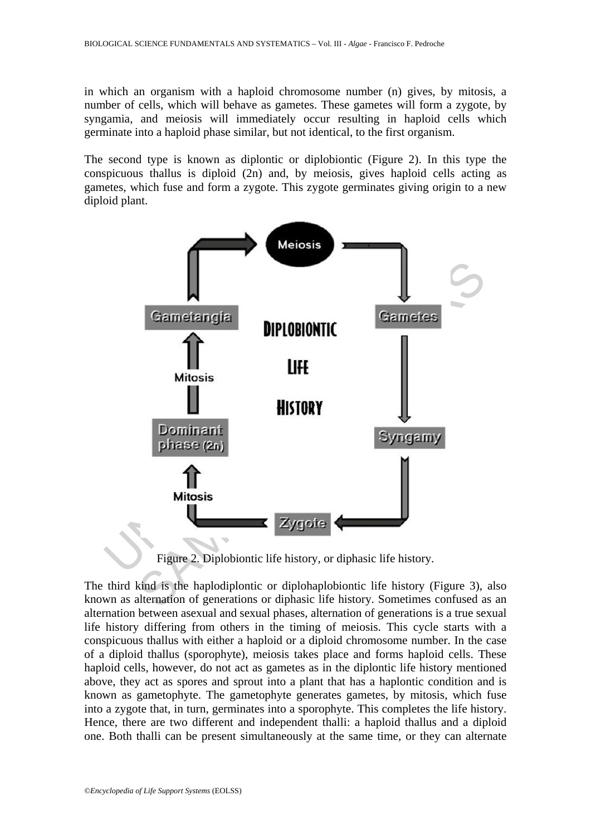in which an organism with a haploid chromosome number (n) gives, by mitosis, a number of cells, which will behave as gametes. These gametes will form a zygote, by syngamia, and meiosis will immediately occur resulting in haploid cells which germinate into a haploid phase similar, but not identical, to the first organism.

The second type is known as diplontic or diplobiontic (Figure 2). In this type the conspicuous thallus is diploid  $(2n)$  and, by meiosis, gives haploid cells acting as gametes, which fuse and form a zygote. This zygote germinates giving origin to a new diploid plant.



Figure 2. Diplobiontic life history, or diphasic life history.

The third kind is the haplodiplontic or diplohaplobiontic life history (Figure 3), also known as alternation of generations or diphasic life history. Sometimes confused as an alternation between asexual and sexual phases, alternation of generations is a true sexual life history differing from others in the timing of meiosis. This cycle starts with a conspicuous thallus with either a haploid or a diploid chromosome number. In the case of a diploid thallus (sporophyte), meiosis takes place and forms haploid cells. These haploid cells, however, do not act as gametes as in the diplontic life history mentioned above, they act as spores and sprout into a plant that has a haplontic condition and is known as gametophyte. The gametophyte generates gametes, by mitosis, which fuse into a zygote that, in turn, germinates into a sporophyte. This completes the life history. Hence, there are two different and independent thalli: a haploid thallus and a diploid one. Both thalli can be present simultaneously at the same time, or they can alternate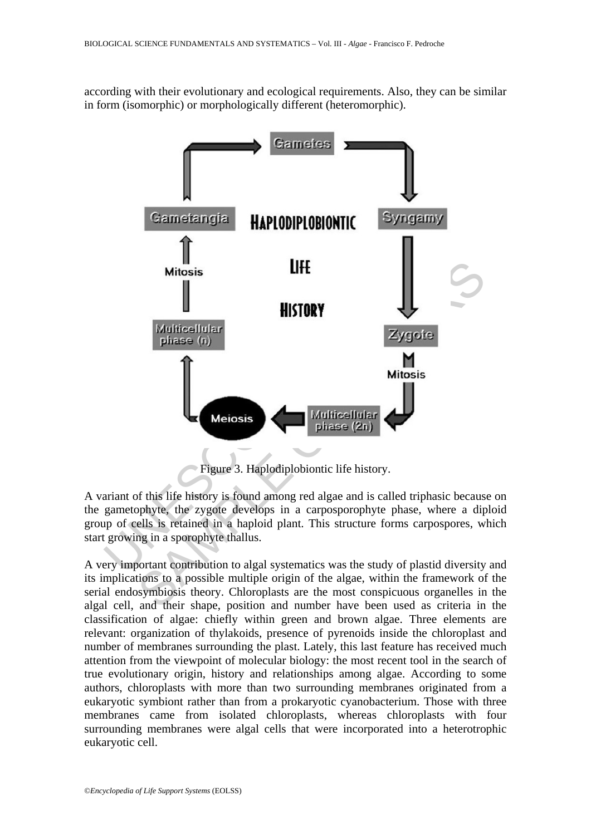according with their evolutionary and ecological requirements. Also, they can be similar in form (isomorphic) or morphologically different (heteromorphic).



Figure 3. Haplodiplobiontic life history.

A variant of this life history is found among red algae and is called triphasic because on the gametophyte, the zygote develops in a carposporophyte phase, where a diploid group of cells is retained in a haploid plant. This structure forms carpospores, which start growing in a sporophyte thallus.

A very important contribution to algal systematics was the study of plastid diversity and its implications to a possible multiple origin of the algae, within the framework of the serial endosymbiosis theory. Chloroplasts are the most conspicuous organelles in the algal cell, and their shape, position and number have been used as criteria in the classification of algae: chiefly within green and brown algae. Three elements are relevant: organization of thylakoids, presence of pyrenoids inside the chloroplast and number of membranes surrounding the plast. Lately, this last feature has received much attention from the viewpoint of molecular biology: the most recent tool in the search of true evolutionary origin, history and relationships among algae. According to some authors, chloroplasts with more than two surrounding membranes originated from a eukaryotic symbiont rather than from a prokaryotic cyanobacterium. Those with three membranes came from isolated chloroplasts, whereas chloroplasts with four surrounding membranes were algal cells that were incorporated into a heterotrophic eukaryotic cell.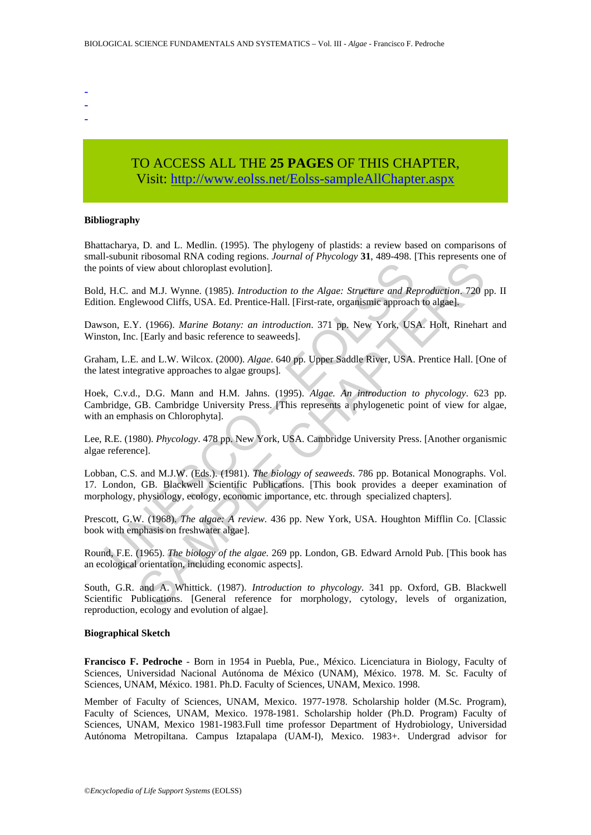- -
- -
- TO ACCESS ALL THE **25 PAGES** OF THIS CHAPTER, Visit[: http://www.eolss.net/Eolss-sampleAllChapter.aspx](https://www.eolss.net/ebooklib/sc_cart.aspx?File=E6-71-06-01)

#### **Bibliography**

Bhattacharya, D. and L. Medlin. (1995). The phylogeny of plastids: a review based on comparisons of small-subunit ribosomal RNA coding regions. *Journal of Phycology* **31**, 489-498. [This represents one of the points of view about chloroplast evolution].

Bold, H.C. and M.J. Wynne. (1985). *Introduction to the Algae: Structure and Reproduction*. 720 pp. II Edition. Englewood Cliffs, USA. Ed. Prentice-Hall. [First-rate, organismic approach to algae].

Dawson, E.Y. (1966). *Marine Botany: an introduction*. 371 pp. New York, USA. Holt, Rinehart and Winston, Inc. [Early and basic reference to seaweeds].

Graham, L.E. and L.W. Wilcox. (2000). *Algae*. 640 pp. Upper Saddle River, USA. Prentice Hall. [One of the latest integrative approaches to algae groups].

Hoek, C.v.d., D.G. Mann and H.M. Jahns. (1995). *Algae. An introduction to phycology*. 623 pp. Cambridge, GB. Cambridge University Press. [This represents a phylogenetic point of view for algae, with an emphasis on Chlorophyta].

Lee, R.E. (1980). *Phycology*. 478 pp. New York, USA. Cambridge University Press. [Another organismic algae reference].

oints of view about chloroplast evolution].<br>
H.C. and M.J. Wynne. (1985). *Introduction to the Algae: Structure and Re*<br>
on. Englewood Cliffs, USA. Ed. Prentice-Hall. [First-rate, organismic approacl<br>
son, E.Y. (1966). *Ma* View about chloroplast evolution].<br>
Missionian and Proposition and of Francescopy expressions and M.J. Wynne. (1985). *Introduction to the Algae: Structure and Reproduction*, 720 p<br>
ewood Cliffs, USA. Ed. Prentice-Hall. [F Lobban, C.S. and M.J.W. (Eds.). (1981). *The biology of seaweeds*. 786 pp. Botanical Monographs. Vol. 17. London, GB. Blackwell Scientific Publications. [This book provides a deeper examination of morphology, physiology, ecology, economic importance, etc. through specialized chapters].

Prescott, G.W. (1968). *The algae: A review*. 436 pp. New York, USA. Houghton Mifflin Co. [Classic book with emphasis on freshwater algae].

Round, F.E. (1965). *The biology of the algae.* 269 pp. London, GB. Edward Arnold Pub. [This book has an ecological orientation, including economic aspects].

South, G.R. and A. Whittick. (1987). *Introduction to phycology*. 341 pp. Oxford, GB. Blackwell Scientific Publications. [General reference for morphology, cytology, levels of organization, reproduction, ecology and evolution of algae].

#### **Biographical Sketch**

**Francisco F. Pedroche** - Born in 1954 in Puebla, Pue., México. Licenciatura in Biology, Faculty of Sciences, Universidad Nacional Autónoma de México (UNAM), México. 1978. M. Sc. Faculty of Sciences, UNAM, México. 1981. Ph.D. Faculty of Sciences, UNAM, Mexico. 1998.

Member of Faculty of Sciences, UNAM, Mexico. 1977-1978. Scholarship holder (M.Sc. Program), Faculty of Sciences, UNAM, Mexico. 1978-1981. Scholarship holder (Ph.D. Program) Faculty of Sciences, UNAM, Mexico 1981-1983.Full time professor Department of Hydrobiology, Universidad Autónoma Metropiltana. Campus Iztapalapa (UAM-I), Mexico. 1983+. Undergrad advisor for